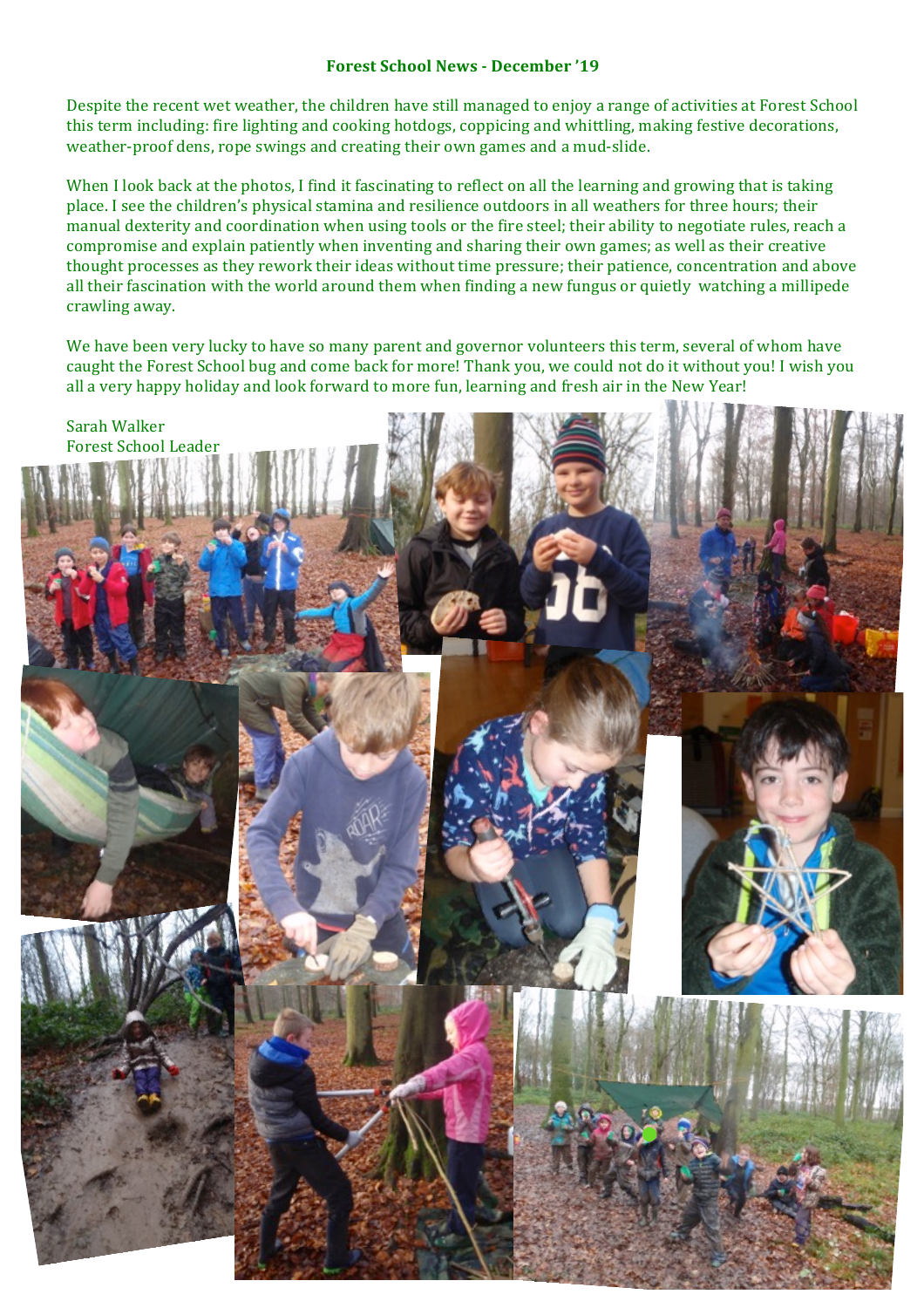## **Forest School News - December '19**

Despite the recent wet weather, the children have still managed to enjoy a range of activities at Forest School this term including: fire lighting and cooking hotdogs, coppicing and whittling, making festive decorations, weather-proof dens, rope swings and creating their own games and a mud-slide.

When I look back at the photos, I find it fascinating to reflect on all the learning and growing that is taking place. I see the children's physical stamina and resilience outdoors in all weathers for three hours; their manual dexterity and coordination when using tools or the fire steel; their ability to negotiate rules, reach a compromise and explain patiently when inventing and sharing their own games; as well as their creative thought processes as they rework their ideas without time pressure; their patience, concentration and above all their fascination with the world around them when finding a new fungus or quietly watching a millipede crawling away.

We have been very lucky to have so many parent and governor volunteers this term, several of whom have caught the Forest School bug and come back for more! Thank you, we could not do it without you! I wish you all a very happy holiday and look forward to more fun, learning and fresh air in the New Year!